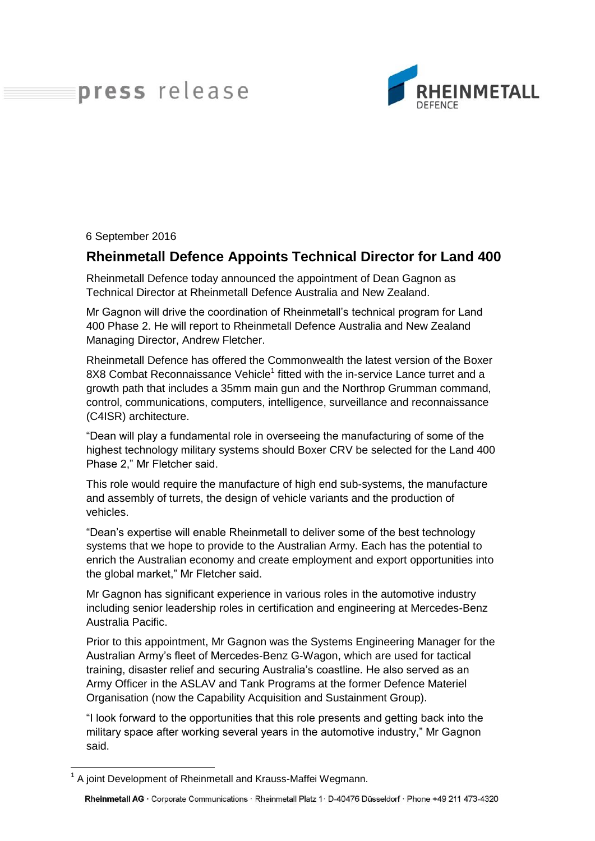## press release



6 September 2016

## **Rheinmetall Defence Appoints Technical Director for Land 400**

Rheinmetall Defence today announced the appointment of Dean Gagnon as Technical Director at Rheinmetall Defence Australia and New Zealand.

Mr Gagnon will drive the coordination of Rheinmetall's technical program for Land 400 Phase 2. He will report to Rheinmetall Defence Australia and New Zealand Managing Director, Andrew Fletcher.

Rheinmetall Defence has offered the Commonwealth the latest version of the Boxer 8X8 Combat Reconnaissance Vehicle<sup>1</sup> fitted with the in-service Lance turret and a growth path that includes a 35mm main gun and the Northrop Grumman command, control, communications, computers, intelligence, surveillance and reconnaissance (C4ISR) architecture.

"Dean will play a fundamental role in overseeing the manufacturing of some of the highest technology military systems should Boxer CRV be selected for the Land 400 Phase 2," Mr Fletcher said.

This role would require the manufacture of high end sub-systems, the manufacture and assembly of turrets, the design of vehicle variants and the production of vehicles.

"Dean's expertise will enable Rheinmetall to deliver some of the best technology systems that we hope to provide to the Australian Army. Each has the potential to enrich the Australian economy and create employment and export opportunities into the global market," Mr Fletcher said.

Mr Gagnon has significant experience in various roles in the automotive industry including senior leadership roles in certification and engineering at Mercedes-Benz Australia Pacific.

Prior to this appointment, Mr Gagnon was the Systems Engineering Manager for the Australian Army's fleet of Mercedes-Benz G-Wagon, which are used for tactical training, disaster relief and securing Australia's coastline. He also served as an Army Officer in the ASLAV and Tank Programs at the former Defence Materiel Organisation (now the Capability Acquisition and Sustainment Group).

"I look forward to the opportunities that this role presents and getting back into the military space after working several years in the automotive industry," Mr Gagnon said.

 $\overline{a}$ 

<sup>&</sup>lt;sup>1</sup> A joint Development of Rheinmetall and Krauss-Maffei Wegmann.